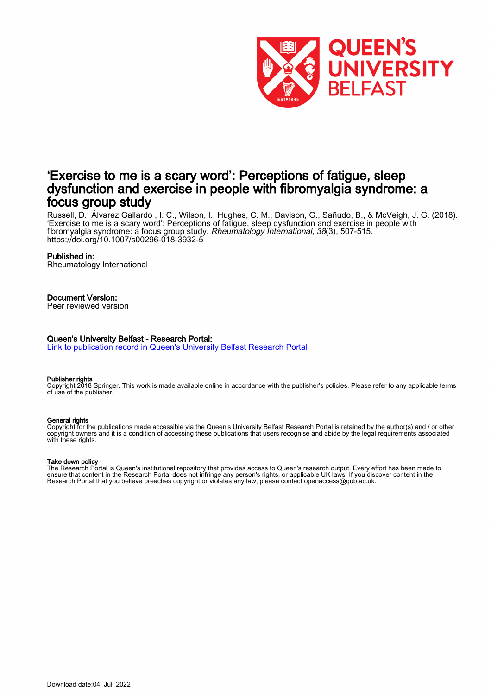

# 'Exercise to me is a scary word': Perceptions of fatigue, sleep dysfunction and exercise in people with fibromyalgia syndrome: a focus group study

Russell, D., Álvarez Gallardo , I. C., Wilson, I., Hughes, C. M., Davison, G., Sañudo, B., & McVeigh, J. G. (2018). 'Exercise to me is a scary word': Perceptions of fatigue, sleep dysfunction and exercise in people with fibromyalgia syndrome: a focus group study. Rheumatology International, 38(3), 507-515. <https://doi.org/10.1007/s00296-018-3932-5>

#### Published in:

Rheumatology International

#### Document Version:

Peer reviewed version

#### Queen's University Belfast - Research Portal:

[Link to publication record in Queen's University Belfast Research Portal](https://pure.qub.ac.uk/en/publications/ae4353fe-2f33-43e6-8569-4f8c4d5989a8)

#### Publisher rights

Copyright 2018 Springer. This work is made available online in accordance with the publisher's policies. Please refer to any applicable terms of use of the publisher.

#### General rights

Copyright for the publications made accessible via the Queen's University Belfast Research Portal is retained by the author(s) and / or other copyright owners and it is a condition of accessing these publications that users recognise and abide by the legal requirements associated with these rights.

#### Take down policy

The Research Portal is Queen's institutional repository that provides access to Queen's research output. Every effort has been made to ensure that content in the Research Portal does not infringe any person's rights, or applicable UK laws. If you discover content in the Research Portal that you believe breaches copyright or violates any law, please contact openaccess@qub.ac.uk.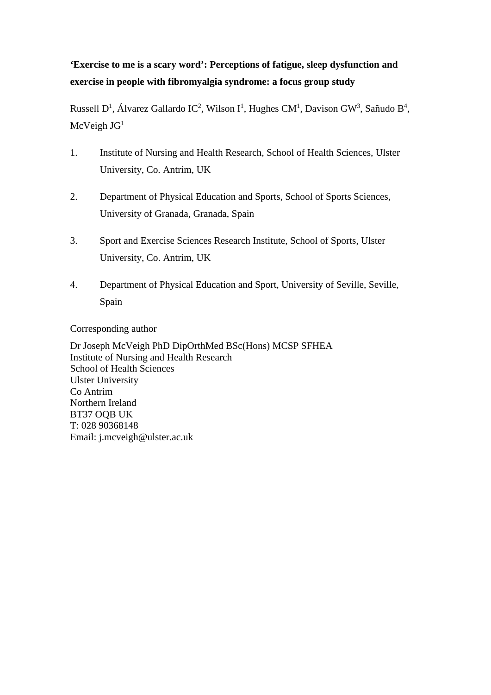# **'Exercise to me is a scary word': Perceptions of fatigue, sleep dysfunction and exercise in people with fibromyalgia syndrome: a focus group study**

Russell D<sup>1</sup>, Álvarez Gallardo IC<sup>2</sup>, Wilson I<sup>1</sup>, Hughes CM<sup>1</sup>, Davison GW<sup>3</sup>, Sañudo B<sup>4</sup>,  $McVeigh JG<sup>1</sup>$ 

- 1. Institute of Nursing and Health Research, School of Health Sciences, Ulster University, Co. Antrim, UK
- 2. Department of Physical Education and Sports, School of Sports Sciences, University of Granada, Granada, Spain
- 3. Sport and Exercise Sciences Research Institute, School of Sports, Ulster University, Co. Antrim, UK
- 4. Department of Physical Education and Sport, University of Seville, Seville, Spain

Corresponding author

Dr Joseph McVeigh PhD DipOrthMed BSc(Hons) MCSP SFHEA Institute of Nursing and Health Research School of Health Sciences Ulster University Co Antrim Northern Ireland BT37 OQB UK T: 028 90368148 Email: j.mcveigh@ulster.ac.uk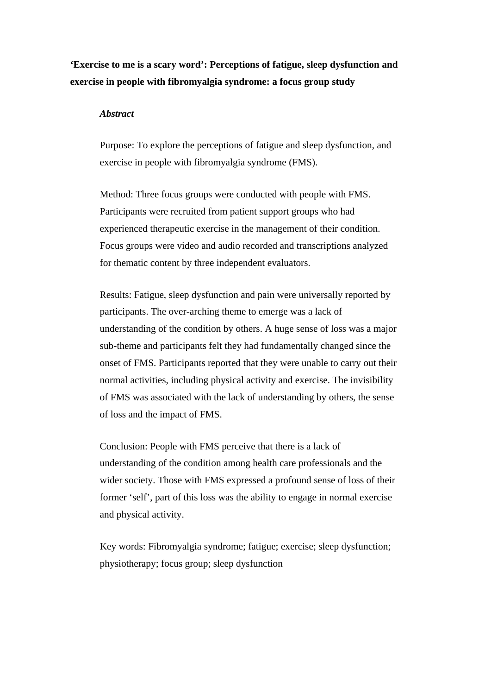**'Exercise to me is a scary word': Perceptions of fatigue, sleep dysfunction and exercise in people with fibromyalgia syndrome: a focus group study** 

#### *Abstract*

Purpose: To explore the perceptions of fatigue and sleep dysfunction, and exercise in people with fibromyalgia syndrome (FMS).

Method: Three focus groups were conducted with people with FMS. Participants were recruited from patient support groups who had experienced therapeutic exercise in the management of their condition. Focus groups were video and audio recorded and transcriptions analyzed for thematic content by three independent evaluators.

Results: Fatigue, sleep dysfunction and pain were universally reported by participants. The over-arching theme to emerge was a lack of understanding of the condition by others. A huge sense of loss was a major sub-theme and participants felt they had fundamentally changed since the onset of FMS. Participants reported that they were unable to carry out their normal activities, including physical activity and exercise. The invisibility of FMS was associated with the lack of understanding by others, the sense of loss and the impact of FMS.

Conclusion: People with FMS perceive that there is a lack of understanding of the condition among health care professionals and the wider society. Those with FMS expressed a profound sense of loss of their former 'self', part of this loss was the ability to engage in normal exercise and physical activity.

Key words: Fibromyalgia syndrome; fatigue; exercise; sleep dysfunction; physiotherapy; focus group; sleep dysfunction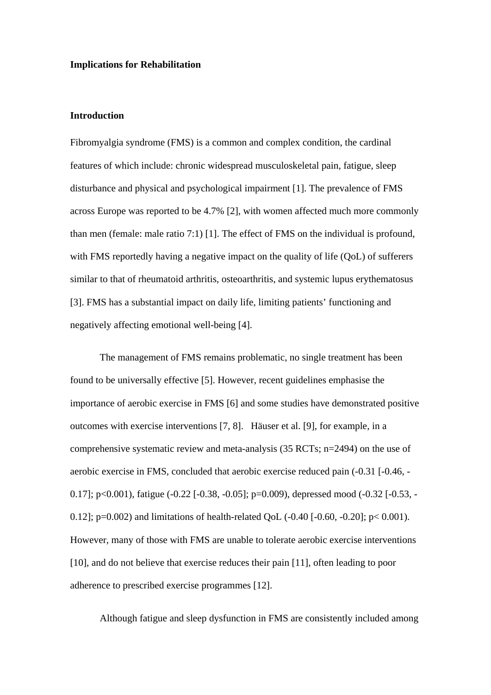#### **Implications for Rehabilitation**

## **Introduction**

Fibromyalgia syndrome (FMS) is a common and complex condition, the cardinal features of which include: chronic widespread musculoskeletal pain, fatigue, sleep disturbance and physical and psychological impairment [1]. The prevalence of FMS across Europe was reported to be 4.7% [2], with women affected much more commonly than men (female: male ratio 7:1) [1]. The effect of FMS on the individual is profound, with FMS reportedly having a negative impact on the quality of life (QoL) of sufferers similar to that of rheumatoid arthritis, osteoarthritis, and systemic lupus erythematosus [3]. FMS has a substantial impact on daily life, limiting patients' functioning and negatively affecting emotional well-being [4].

The management of FMS remains problematic, no single treatment has been found to be universally effective [5]. However, recent guidelines emphasise the importance of aerobic exercise in FMS [6] and some studies have demonstrated positive outcomes with exercise interventions [7, 8]. Häuser et al. [9], for example, in a comprehensive systematic review and meta-analysis (35 RCTs; n=2494) on the use of aerobic exercise in FMS, concluded that aerobic exercise reduced pain (-0.31 [-0.46, - 0.17]; p<0.001), fatigue (-0.22 [-0.38, -0.05]; p=0.009), depressed mood (-0.32 [-0.53, - 0.12]; p=0.002) and limitations of health-related QoL (-0.40 [-0.60, -0.20]; p< 0.001). However, many of those with FMS are unable to tolerate aerobic exercise interventions [10], and do not believe that exercise reduces their pain [11], often leading to poor adherence to prescribed exercise programmes [12].

Although fatigue and sleep dysfunction in FMS are consistently included among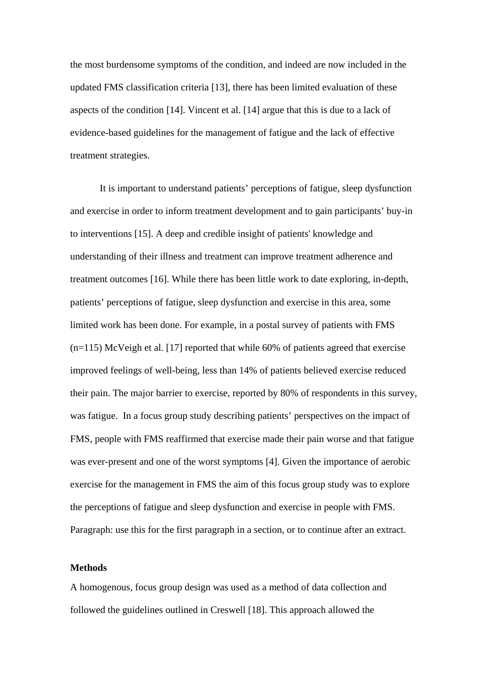the most burdensome symptoms of the condition, and indeed are now included in the updated FMS classification criteria [13], there has been limited evaluation of these aspects of the condition [14]. Vincent et al. [14] argue that this is due to a lack of evidence-based guidelines for the management of fatigue and the lack of effective treatment strategies.

It is important to understand patients' perceptions of fatigue, sleep dysfunction and exercise in order to inform treatment development and to gain participants' buy-in to interventions [15]. A deep and credible insight of patients' knowledge and understanding of their illness and treatment can improve treatment adherence and treatment outcomes [16]. While there has been little work to date exploring, in-depth, patients' perceptions of fatigue, sleep dysfunction and exercise in this area, some limited work has been done. For example, in a postal survey of patients with FMS  $(n=115)$  McVeigh et al. [17] reported that while 60% of patients agreed that exercise improved feelings of well-being, less than 14% of patients believed exercise reduced their pain. The major barrier to exercise, reported by 80% of respondents in this survey, was fatigue. In a focus group study describing patients' perspectives on the impact of FMS, people with FMS reaffirmed that exercise made their pain worse and that fatigue was ever-present and one of the worst symptoms [4]. Given the importance of aerobic exercise for the management in FMS the aim of this focus group study was to explore the perceptions of fatigue and sleep dysfunction and exercise in people with FMS. Paragraph: use this for the first paragraph in a section, or to continue after an extract.

### **Methods**

A homogenous, focus group design was used as a method of data collection and followed the guidelines outlined in Creswell [18]. This approach allowed the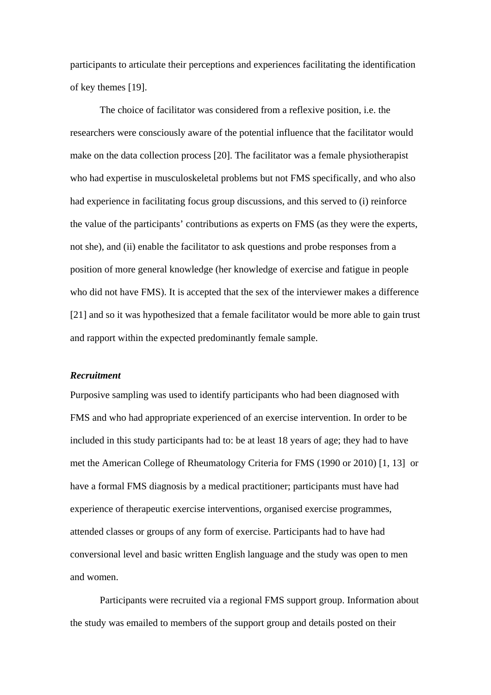participants to articulate their perceptions and experiences facilitating the identification of key themes [19].

The choice of facilitator was considered from a reflexive position, i.e. the researchers were consciously aware of the potential influence that the facilitator would make on the data collection process [20]. The facilitator was a female physiotherapist who had expertise in musculoskeletal problems but not FMS specifically, and who also had experience in facilitating focus group discussions, and this served to (i) reinforce the value of the participants' contributions as experts on FMS (as they were the experts, not she), and (ii) enable the facilitator to ask questions and probe responses from a position of more general knowledge (her knowledge of exercise and fatigue in people who did not have FMS). It is accepted that the sex of the interviewer makes a difference [21] and so it was hypothesized that a female facilitator would be more able to gain trust and rapport within the expected predominantly female sample.

## *Recruitment*

Purposive sampling was used to identify participants who had been diagnosed with FMS and who had appropriate experienced of an exercise intervention. In order to be included in this study participants had to: be at least 18 years of age; they had to have met the American College of Rheumatology Criteria for FMS (1990 or 2010) [1, 13] or have a formal FMS diagnosis by a medical practitioner; participants must have had experience of therapeutic exercise interventions, organised exercise programmes, attended classes or groups of any form of exercise. Participants had to have had conversional level and basic written English language and the study was open to men and women.

Participants were recruited via a regional FMS support group. Information about the study was emailed to members of the support group and details posted on their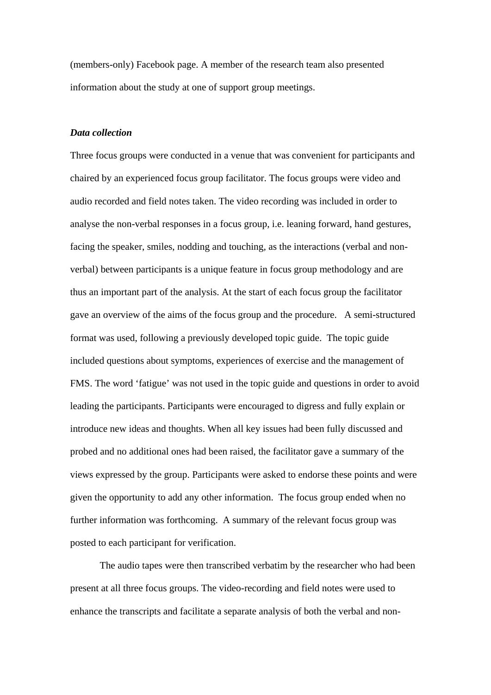(members-only) Facebook page. A member of the research team also presented information about the study at one of support group meetings.

# *Data collection*

Three focus groups were conducted in a venue that was convenient for participants and chaired by an experienced focus group facilitator. The focus groups were video and audio recorded and field notes taken. The video recording was included in order to analyse the non-verbal responses in a focus group, i.e. leaning forward, hand gestures, facing the speaker, smiles, nodding and touching, as the interactions (verbal and nonverbal) between participants is a unique feature in focus group methodology and are thus an important part of the analysis. At the start of each focus group the facilitator gave an overview of the aims of the focus group and the procedure. A semi-structured format was used, following a previously developed topic guide. The topic guide included questions about symptoms, experiences of exercise and the management of FMS. The word 'fatigue' was not used in the topic guide and questions in order to avoid leading the participants. Participants were encouraged to digress and fully explain or introduce new ideas and thoughts. When all key issues had been fully discussed and probed and no additional ones had been raised, the facilitator gave a summary of the views expressed by the group. Participants were asked to endorse these points and were given the opportunity to add any other information. The focus group ended when no further information was forthcoming. A summary of the relevant focus group was posted to each participant for verification.

The audio tapes were then transcribed verbatim by the researcher who had been present at all three focus groups. The video-recording and field notes were used to enhance the transcripts and facilitate a separate analysis of both the verbal and non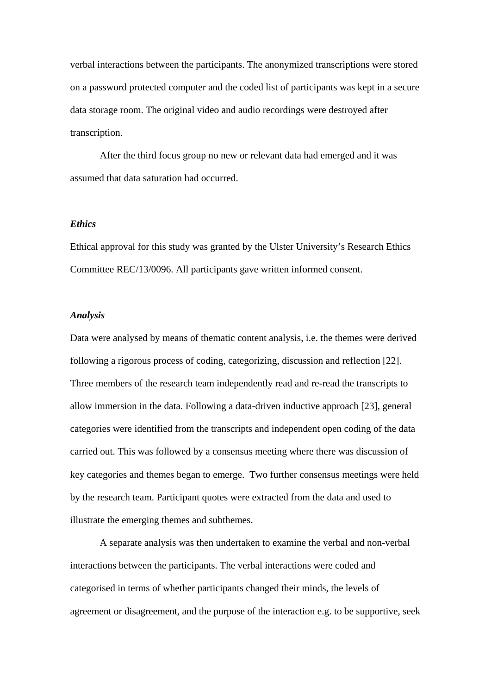verbal interactions between the participants. The anonymized transcriptions were stored on a password protected computer and the coded list of participants was kept in a secure data storage room. The original video and audio recordings were destroyed after transcription.

After the third focus group no new or relevant data had emerged and it was assumed that data saturation had occurred.

# *Ethics*

Ethical approval for this study was granted by the Ulster University's Research Ethics Committee REC/13/0096. All participants gave written informed consent.

## *Analysis*

Data were analysed by means of thematic content analysis, i.e. the themes were derived following a rigorous process of coding, categorizing, discussion and reflection [22]. Three members of the research team independently read and re-read the transcripts to allow immersion in the data. Following a data-driven inductive approach [23], general categories were identified from the transcripts and independent open coding of the data carried out. This was followed by a consensus meeting where there was discussion of key categories and themes began to emerge. Two further consensus meetings were held by the research team. Participant quotes were extracted from the data and used to illustrate the emerging themes and subthemes.

A separate analysis was then undertaken to examine the verbal and non-verbal interactions between the participants. The verbal interactions were coded and categorised in terms of whether participants changed their minds, the levels of agreement or disagreement, and the purpose of the interaction e.g. to be supportive, seek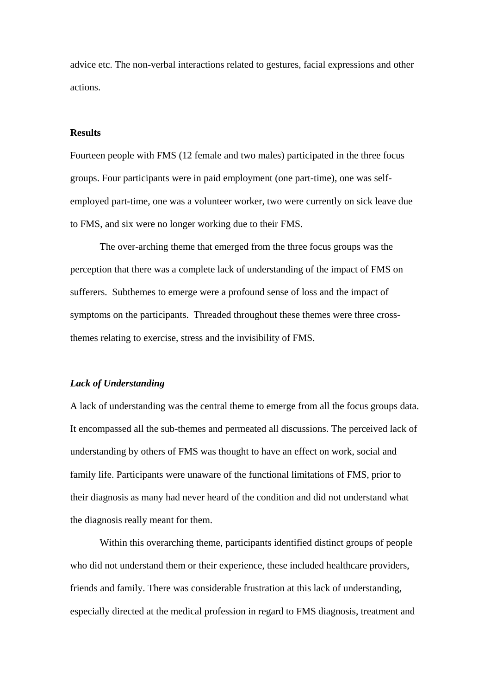advice etc. The non-verbal interactions related to gestures, facial expressions and other actions.

# **Results**

Fourteen people with FMS (12 female and two males) participated in the three focus groups. Four participants were in paid employment (one part-time), one was selfemployed part-time, one was a volunteer worker, two were currently on sick leave due to FMS, and six were no longer working due to their FMS.

The over-arching theme that emerged from the three focus groups was the perception that there was a complete lack of understanding of the impact of FMS on sufferers. Subthemes to emerge were a profound sense of loss and the impact of symptoms on the participants. Threaded throughout these themes were three crossthemes relating to exercise, stress and the invisibility of FMS.

# *Lack of Understanding*

A lack of understanding was the central theme to emerge from all the focus groups data. It encompassed all the sub-themes and permeated all discussions. The perceived lack of understanding by others of FMS was thought to have an effect on work, social and family life. Participants were unaware of the functional limitations of FMS, prior to their diagnosis as many had never heard of the condition and did not understand what the diagnosis really meant for them.

Within this overarching theme, participants identified distinct groups of people who did not understand them or their experience, these included healthcare providers, friends and family. There was considerable frustration at this lack of understanding, especially directed at the medical profession in regard to FMS diagnosis, treatment and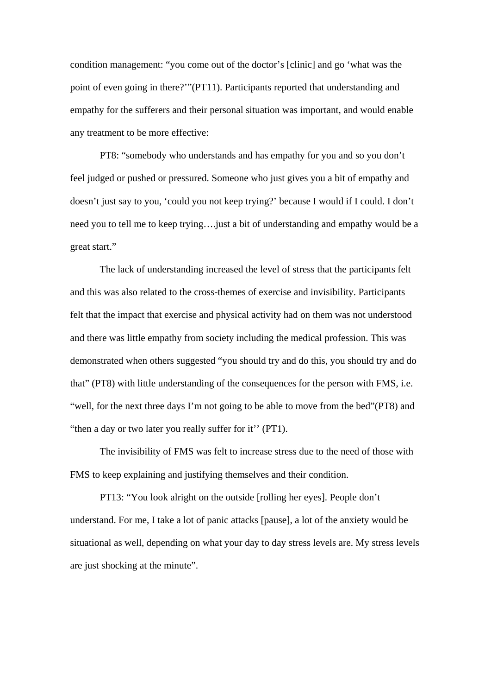condition management: "you come out of the doctor's [clinic] and go 'what was the point of even going in there?'"(PT11). Participants reported that understanding and empathy for the sufferers and their personal situation was important, and would enable any treatment to be more effective:

PT8: "somebody who understands and has empathy for you and so you don't feel judged or pushed or pressured. Someone who just gives you a bit of empathy and doesn't just say to you, 'could you not keep trying?' because I would if I could. I don't need you to tell me to keep trying….just a bit of understanding and empathy would be a great start."

The lack of understanding increased the level of stress that the participants felt and this was also related to the cross-themes of exercise and invisibility. Participants felt that the impact that exercise and physical activity had on them was not understood and there was little empathy from society including the medical profession. This was demonstrated when others suggested "you should try and do this, you should try and do that" (PT8) with little understanding of the consequences for the person with FMS, i.e. "well, for the next three days I'm not going to be able to move from the bed"(PT8) and "then a day or two later you really suffer for it'' (PT1).

The invisibility of FMS was felt to increase stress due to the need of those with FMS to keep explaining and justifying themselves and their condition.

PT13: "You look alright on the outside [rolling her eyes]. People don't understand. For me, I take a lot of panic attacks [pause], a lot of the anxiety would be situational as well, depending on what your day to day stress levels are. My stress levels are just shocking at the minute".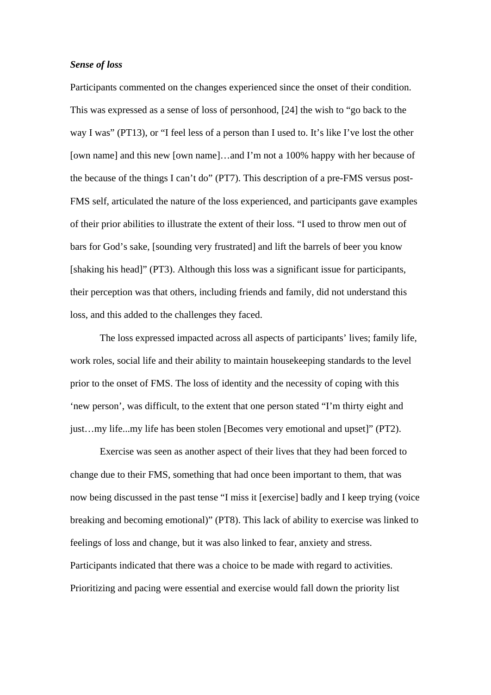## *Sense of loss*

Participants commented on the changes experienced since the onset of their condition. This was expressed as a sense of loss of personhood, [24] the wish to "go back to the way I was" (PT13), or "I feel less of a person than I used to. It's like I've lost the other [own name] and this new [own name]…and I'm not a 100% happy with her because of the because of the things I can't do" (PT7). This description of a pre-FMS versus post-FMS self, articulated the nature of the loss experienced, and participants gave examples of their prior abilities to illustrate the extent of their loss. "I used to throw men out of bars for God's sake, [sounding very frustrated] and lift the barrels of beer you know [shaking his head]" (PT3). Although this loss was a significant issue for participants, their perception was that others, including friends and family, did not understand this loss, and this added to the challenges they faced.

The loss expressed impacted across all aspects of participants' lives; family life, work roles, social life and their ability to maintain housekeeping standards to the level prior to the onset of FMS. The loss of identity and the necessity of coping with this 'new person', was difficult, to the extent that one person stated "I'm thirty eight and just…my life...my life has been stolen [Becomes very emotional and upset]" (PT2).

Exercise was seen as another aspect of their lives that they had been forced to change due to their FMS, something that had once been important to them, that was now being discussed in the past tense "I miss it [exercise] badly and I keep trying (voice breaking and becoming emotional)" (PT8). This lack of ability to exercise was linked to feelings of loss and change, but it was also linked to fear, anxiety and stress. Participants indicated that there was a choice to be made with regard to activities. Prioritizing and pacing were essential and exercise would fall down the priority list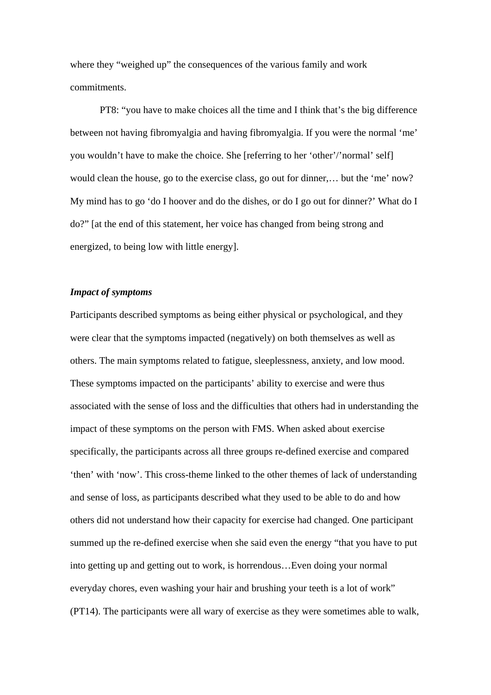where they "weighed up" the consequences of the various family and work commitments.

PT8: "you have to make choices all the time and I think that's the big difference between not having fibromyalgia and having fibromyalgia. If you were the normal 'me' you wouldn't have to make the choice. She [referring to her 'other'/'normal' self] would clean the house, go to the exercise class, go out for dinner,… but the 'me' now? My mind has to go 'do I hoover and do the dishes, or do I go out for dinner?' What do I do?" [at the end of this statement, her voice has changed from being strong and energized, to being low with little energy].

## *Impact of symptoms*

Participants described symptoms as being either physical or psychological, and they were clear that the symptoms impacted (negatively) on both themselves as well as others. The main symptoms related to fatigue, sleeplessness, anxiety, and low mood. These symptoms impacted on the participants' ability to exercise and were thus associated with the sense of loss and the difficulties that others had in understanding the impact of these symptoms on the person with FMS. When asked about exercise specifically, the participants across all three groups re-defined exercise and compared 'then' with 'now'. This cross-theme linked to the other themes of lack of understanding and sense of loss, as participants described what they used to be able to do and how others did not understand how their capacity for exercise had changed. One participant summed up the re-defined exercise when she said even the energy "that you have to put into getting up and getting out to work, is horrendous…Even doing your normal everyday chores, even washing your hair and brushing your teeth is a lot of work" (PT14). The participants were all wary of exercise as they were sometimes able to walk,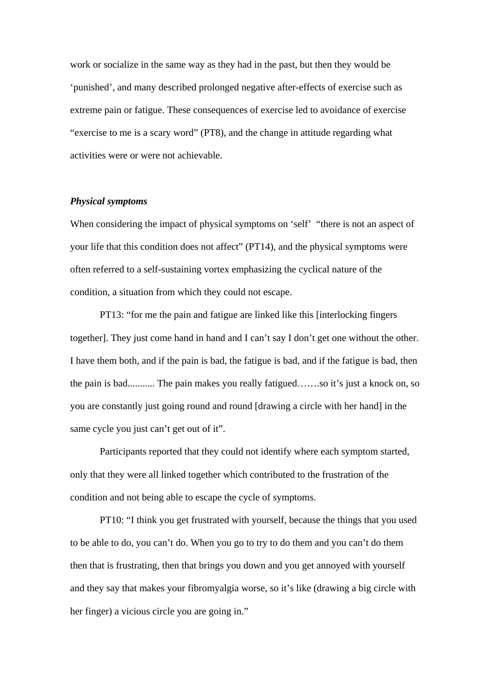work or socialize in the same way as they had in the past, but then they would be 'punished', and many described prolonged negative after-effects of exercise such as extreme pain or fatigue. These consequences of exercise led to avoidance of exercise "exercise to me is a scary word" (PT8), and the change in attitude regarding what activities were or were not achievable.

## *Physical symptoms*

When considering the impact of physical symptoms on 'self' "there is not an aspect of your life that this condition does not affect" (PT14), and the physical symptoms were often referred to a self-sustaining vortex emphasizing the cyclical nature of the condition, a situation from which they could not escape.

PT13: "for me the pain and fatigue are linked like this [interlocking fingers together]. They just come hand in hand and I can't say I don't get one without the other. I have them both, and if the pain is bad, the fatigue is bad, and if the fatigue is bad, then the pain is bad........... The pain makes you really fatigued…….so it's just a knock on, so you are constantly just going round and round [drawing a circle with her hand] in the same cycle you just can't get out of it".

Participants reported that they could not identify where each symptom started, only that they were all linked together which contributed to the frustration of the condition and not being able to escape the cycle of symptoms.

PT10: "I think you get frustrated with yourself, because the things that you used to be able to do, you can't do. When you go to try to do them and you can't do them then that is frustrating, then that brings you down and you get annoyed with yourself and they say that makes your fibromyalgia worse, so it's like (drawing a big circle with her finger) a vicious circle you are going in."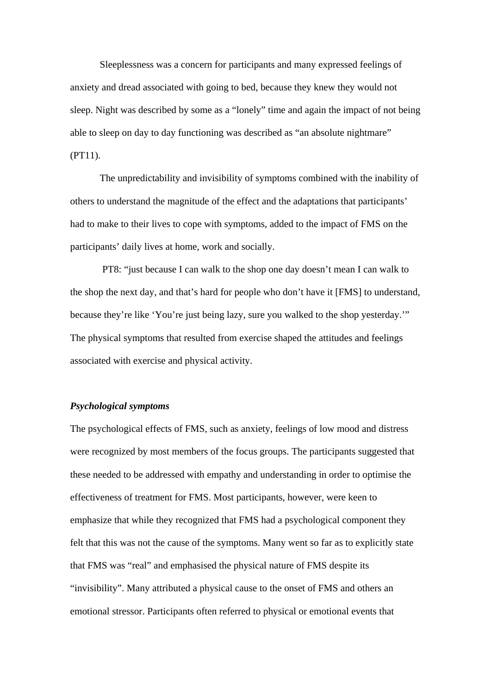Sleeplessness was a concern for participants and many expressed feelings of anxiety and dread associated with going to bed, because they knew they would not sleep. Night was described by some as a "lonely" time and again the impact of not being able to sleep on day to day functioning was described as "an absolute nightmare" (PT11).

The unpredictability and invisibility of symptoms combined with the inability of others to understand the magnitude of the effect and the adaptations that participants' had to make to their lives to cope with symptoms, added to the impact of FMS on the participants' daily lives at home, work and socially.

 PT8: "just because I can walk to the shop one day doesn't mean I can walk to the shop the next day, and that's hard for people who don't have it [FMS] to understand, because they're like 'You're just being lazy, sure you walked to the shop yesterday.'" The physical symptoms that resulted from exercise shaped the attitudes and feelings associated with exercise and physical activity.

# *Psychological symptoms*

The psychological effects of FMS, such as anxiety, feelings of low mood and distress were recognized by most members of the focus groups. The participants suggested that these needed to be addressed with empathy and understanding in order to optimise the effectiveness of treatment for FMS. Most participants, however, were keen to emphasize that while they recognized that FMS had a psychological component they felt that this was not the cause of the symptoms. Many went so far as to explicitly state that FMS was "real" and emphasised the physical nature of FMS despite its "invisibility". Many attributed a physical cause to the onset of FMS and others an emotional stressor. Participants often referred to physical or emotional events that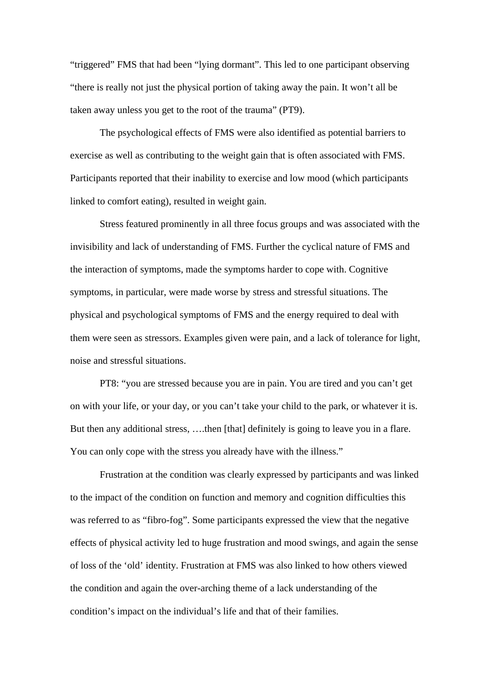"triggered" FMS that had been "lying dormant". This led to one participant observing "there is really not just the physical portion of taking away the pain. It won't all be taken away unless you get to the root of the trauma" (PT9).

The psychological effects of FMS were also identified as potential barriers to exercise as well as contributing to the weight gain that is often associated with FMS. Participants reported that their inability to exercise and low mood (which participants linked to comfort eating), resulted in weight gain.

Stress featured prominently in all three focus groups and was associated with the invisibility and lack of understanding of FMS. Further the cyclical nature of FMS and the interaction of symptoms, made the symptoms harder to cope with. Cognitive symptoms, in particular, were made worse by stress and stressful situations. The physical and psychological symptoms of FMS and the energy required to deal with them were seen as stressors. Examples given were pain, and a lack of tolerance for light, noise and stressful situations.

PT8: "you are stressed because you are in pain. You are tired and you can't get on with your life, or your day, or you can't take your child to the park, or whatever it is. But then any additional stress, ….then [that] definitely is going to leave you in a flare. You can only cope with the stress you already have with the illness."

Frustration at the condition was clearly expressed by participants and was linked to the impact of the condition on function and memory and cognition difficulties this was referred to as "fibro-fog". Some participants expressed the view that the negative effects of physical activity led to huge frustration and mood swings, and again the sense of loss of the 'old' identity. Frustration at FMS was also linked to how others viewed the condition and again the over-arching theme of a lack understanding of the condition's impact on the individual's life and that of their families.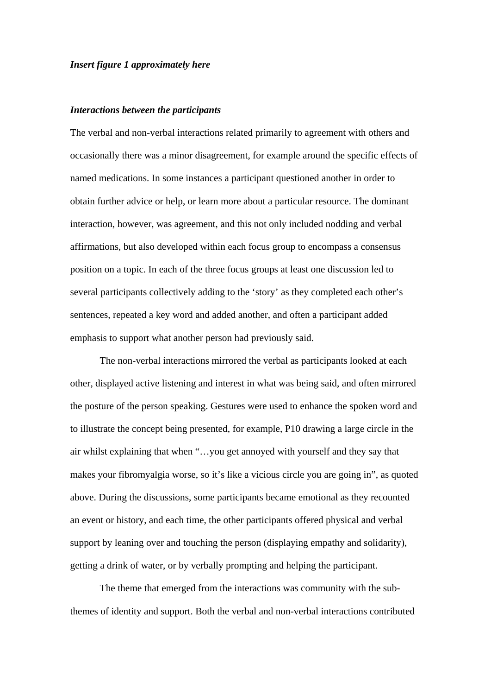#### *Insert figure 1 approximately here*

#### *Interactions between the participants*

The verbal and non-verbal interactions related primarily to agreement with others and occasionally there was a minor disagreement, for example around the specific effects of named medications. In some instances a participant questioned another in order to obtain further advice or help, or learn more about a particular resource. The dominant interaction, however, was agreement, and this not only included nodding and verbal affirmations, but also developed within each focus group to encompass a consensus position on a topic. In each of the three focus groups at least one discussion led to several participants collectively adding to the 'story' as they completed each other's sentences, repeated a key word and added another, and often a participant added emphasis to support what another person had previously said.

The non-verbal interactions mirrored the verbal as participants looked at each other, displayed active listening and interest in what was being said, and often mirrored the posture of the person speaking. Gestures were used to enhance the spoken word and to illustrate the concept being presented, for example, P10 drawing a large circle in the air whilst explaining that when "…you get annoyed with yourself and they say that makes your fibromyalgia worse, so it's like a vicious circle you are going in", as quoted above. During the discussions, some participants became emotional as they recounted an event or history, and each time, the other participants offered physical and verbal support by leaning over and touching the person (displaying empathy and solidarity), getting a drink of water, or by verbally prompting and helping the participant.

The theme that emerged from the interactions was community with the subthemes of identity and support. Both the verbal and non-verbal interactions contributed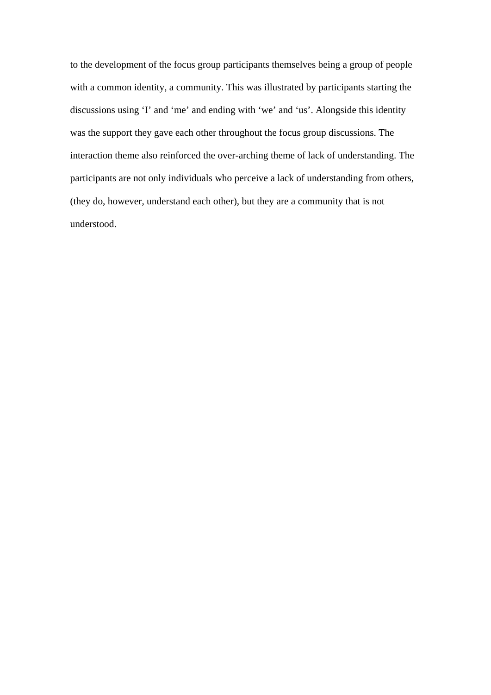to the development of the focus group participants themselves being a group of people with a common identity, a community. This was illustrated by participants starting the discussions using 'I' and 'me' and ending with 'we' and 'us'. Alongside this identity was the support they gave each other throughout the focus group discussions. The interaction theme also reinforced the over-arching theme of lack of understanding. The participants are not only individuals who perceive a lack of understanding from others, (they do, however, understand each other), but they are a community that is not understood.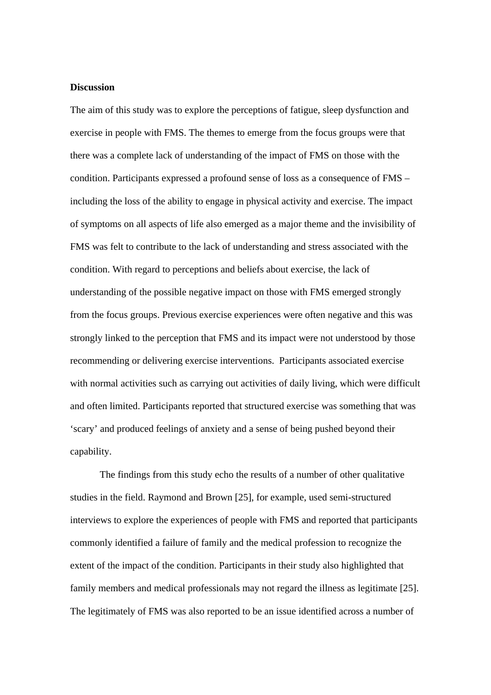# **Discussion**

The aim of this study was to explore the perceptions of fatigue, sleep dysfunction and exercise in people with FMS. The themes to emerge from the focus groups were that there was a complete lack of understanding of the impact of FMS on those with the condition. Participants expressed a profound sense of loss as a consequence of FMS – including the loss of the ability to engage in physical activity and exercise. The impact of symptoms on all aspects of life also emerged as a major theme and the invisibility of FMS was felt to contribute to the lack of understanding and stress associated with the condition. With regard to perceptions and beliefs about exercise, the lack of understanding of the possible negative impact on those with FMS emerged strongly from the focus groups. Previous exercise experiences were often negative and this was strongly linked to the perception that FMS and its impact were not understood by those recommending or delivering exercise interventions. Participants associated exercise with normal activities such as carrying out activities of daily living, which were difficult and often limited. Participants reported that structured exercise was something that was 'scary' and produced feelings of anxiety and a sense of being pushed beyond their capability.

The findings from this study echo the results of a number of other qualitative studies in the field. Raymond and Brown [25], for example, used semi-structured interviews to explore the experiences of people with FMS and reported that participants commonly identified a failure of family and the medical profession to recognize the extent of the impact of the condition. Participants in their study also highlighted that family members and medical professionals may not regard the illness as legitimate [25]. The legitimately of FMS was also reported to be an issue identified across a number of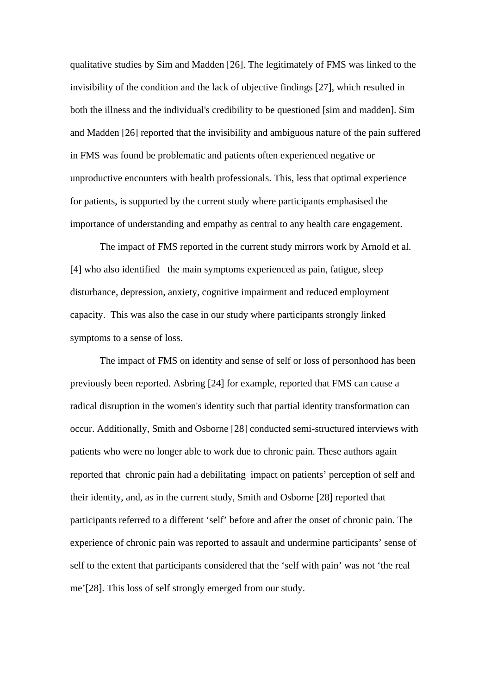qualitative studies by Sim and Madden [26]. The legitimately of FMS was linked to the invisibility of the condition and the lack of objective findings [27], which resulted in both the illness and the individual's credibility to be questioned [sim and madden]. Sim and Madden [26] reported that the invisibility and ambiguous nature of the pain suffered in FMS was found be problematic and patients often experienced negative or unproductive encounters with health professionals. This, less that optimal experience for patients, is supported by the current study where participants emphasised the importance of understanding and empathy as central to any health care engagement.

The impact of FMS reported in the current study mirrors work by Arnold et al. [4] who also identified the main symptoms experienced as pain, fatigue, sleep disturbance, depression, anxiety, cognitive impairment and reduced employment capacity. This was also the case in our study where participants strongly linked symptoms to a sense of loss.

The impact of FMS on identity and sense of self or loss of personhood has been previously been reported. Asbring [24] for example, reported that FMS can cause a radical disruption in the women's identity such that partial identity transformation can occur. Additionally, Smith and Osborne [28] conducted semi-structured interviews with patients who were no longer able to work due to chronic pain. These authors again reported that chronic pain had a debilitating impact on patients' perception of self and their identity, and, as in the current study, Smith and Osborne [28] reported that participants referred to a different 'self' before and after the onset of chronic pain. The experience of chronic pain was reported to assault and undermine participants' sense of self to the extent that participants considered that the 'self with pain' was not 'the real me'[28]. This loss of self strongly emerged from our study.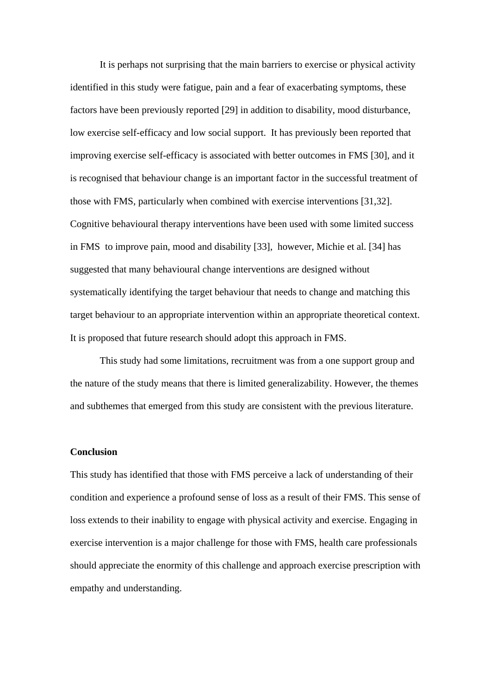It is perhaps not surprising that the main barriers to exercise or physical activity identified in this study were fatigue, pain and a fear of exacerbating symptoms, these factors have been previously reported [29] in addition to disability, mood disturbance, low exercise self-efficacy and low social support. It has previously been reported that improving exercise self-efficacy is associated with better outcomes in FMS [30], and it is recognised that behaviour change is an important factor in the successful treatment of those with FMS, particularly when combined with exercise interventions [31,32]. Cognitive behavioural therapy interventions have been used with some limited success in FMS to improve pain, mood and disability [33], however, Michie et al. [34] has suggested that many behavioural change interventions are designed without systematically identifying the target behaviour that needs to change and matching this target behaviour to an appropriate intervention within an appropriate theoretical context. It is proposed that future research should adopt this approach in FMS.

This study had some limitations, recruitment was from a one support group and the nature of the study means that there is limited generalizability. However, the themes and subthemes that emerged from this study are consistent with the previous literature.

#### **Conclusion**

This study has identified that those with FMS perceive a lack of understanding of their condition and experience a profound sense of loss as a result of their FMS. This sense of loss extends to their inability to engage with physical activity and exercise. Engaging in exercise intervention is a major challenge for those with FMS, health care professionals should appreciate the enormity of this challenge and approach exercise prescription with empathy and understanding.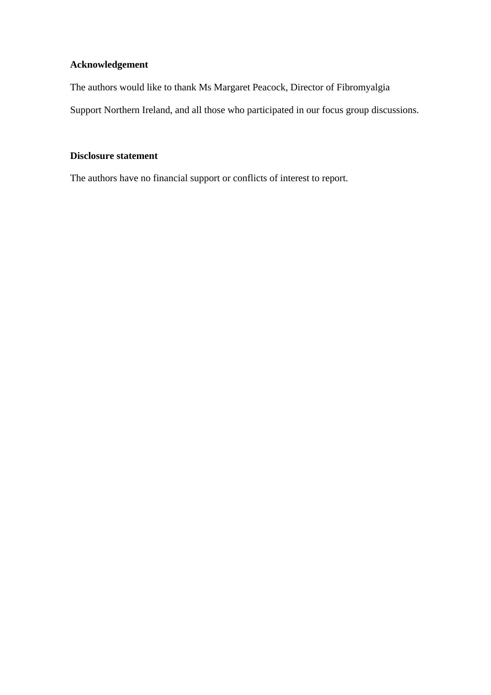# **Acknowledgement**

The authors would like to thank Ms Margaret Peacock, Director of Fibromyalgia

Support Northern Ireland, and all those who participated in our focus group discussions.

# **Disclosure statement**

The authors have no financial support or conflicts of interest to report.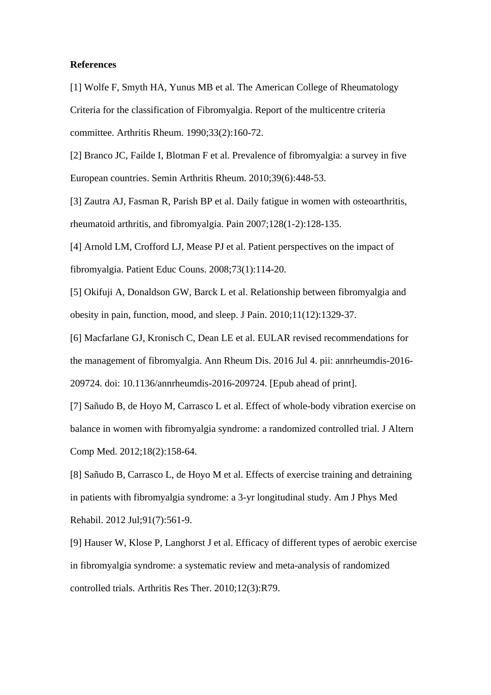### **References**

[1] Wolfe F, Smyth HA, Yunus MB et al. The American College of Rheumatology Criteria for the classification of Fibromyalgia. Report of the multicentre criteria committee. Arthritis Rheum. 1990;33(2):160-72.

[2] Branco JC, Failde I, Blotman F et al. Prevalence of fibromyalgia: a survey in five European countries. Semin Arthritis Rheum. 2010;39(6):448-53.

[3] Zautra AJ, Fasman R, Parish BP et al. Daily fatigue in women with osteoarthritis, rheumatoid arthritis, and fibromyalgia. Pain 2007;128(1-2):128-135.

[4] Arnold LM, Crofford LJ, Mease PJ et al. Patient perspectives on the impact of fibromyalgia. Patient Educ Couns. 2008;73(1):114-20.

[5] Okifuji A, Donaldson GW, Barck L et al. Relationship between fibromyalgia and obesity in pain, function, mood, and sleep. J Pain. 2010;11(12):1329-37.

[6] Macfarlane GJ, Kronisch C, Dean LE et al. EULAR revised recommendations for the management of fibromyalgia. Ann Rheum Dis. 2016 Jul 4. pii: annrheumdis-2016- 209724. doi: 10.1136/annrheumdis-2016-209724. [Epub ahead of print].

[7] Sañudo B, de Hoyo M, Carrasco L et al. Effect of whole-body vibration exercise on balance in women with fibromyalgia syndrome: a randomized controlled trial. J Altern Comp Med. 2012;18(2):158-64.

[8] Sañudo B, Carrasco L, de Hoyo M et al. Effects of exercise training and detraining in patients with fibromyalgia syndrome: a 3-yr longitudinal study. Am J Phys Med Rehabil. 2012 Jul;91(7):561-9.

[9] Hauser W, Klose P, Langhorst J et al. Efficacy of different types of aerobic exercise in fibromyalgia syndrome: a systematic review and meta-analysis of randomized controlled trials. Arthritis Res Ther. 2010;12(3):R79.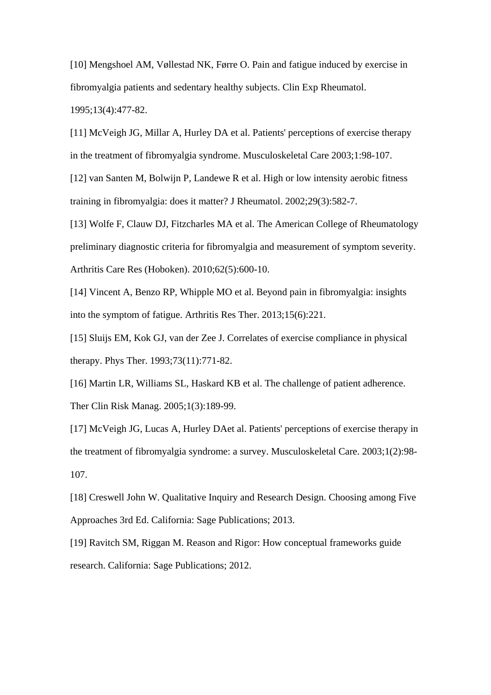[10] Mengshoel AM, Vøllestad NK, Førre O. Pain and fatigue induced by exercise in fibromyalgia patients and sedentary healthy subjects. Clin Exp Rheumatol. 1995;13(4):477-82.

[11] McVeigh JG, Millar A, Hurley DA et al. Patients' perceptions of exercise therapy in the treatment of fibromyalgia syndrome. Musculoskeletal Care 2003;1:98-107.

[12] van Santen M, Bolwijn P, Landewe R et al. High or low intensity aerobic fitness training in fibromyalgia: does it matter? J Rheumatol. 2002;29(3):582-7.

[13] Wolfe F, Clauw DJ, Fitzcharles MA et al. The American College of Rheumatology preliminary diagnostic criteria for fibromyalgia and measurement of symptom severity. Arthritis Care Res (Hoboken). 2010;62(5):600-10.

[14] Vincent A, Benzo RP, Whipple MO et al. Beyond pain in fibromyalgia: insights into the symptom of fatigue. Arthritis Res Ther. 2013;15(6):221.

[15] Sluijs EM, Kok GJ, van der Zee J. Correlates of exercise compliance in physical therapy. Phys Ther. 1993;73(11):771-82.

[16] Martin LR, Williams SL, Haskard KB et al. The challenge of patient adherence. Ther Clin Risk Manag. 2005;1(3):189-99.

[17] McVeigh JG, Lucas A, Hurley DAet al. Patients' perceptions of exercise therapy in the treatment of fibromyalgia syndrome: a survey. Musculoskeletal Care. 2003;1(2):98- 107.

[18] Creswell John W. Qualitative Inquiry and Research Design. Choosing among Five Approaches 3rd Ed. California: Sage Publications; 2013.

[19] Ravitch SM, Riggan M. Reason and Rigor: How conceptual frameworks guide research. California: Sage Publications; 2012.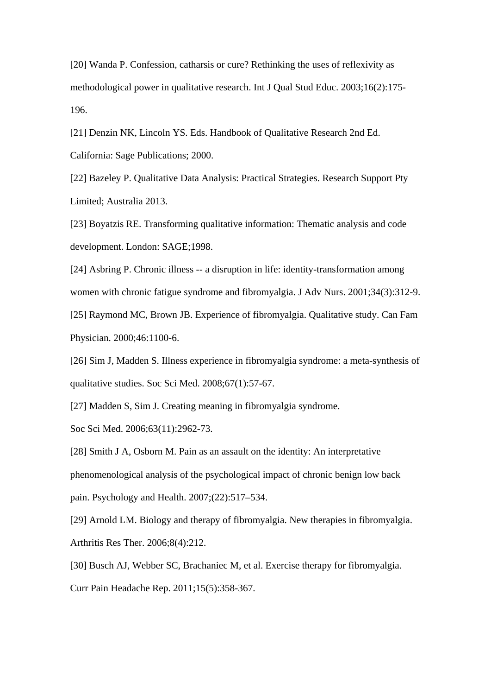[20] Wanda P. Confession, catharsis or cure? Rethinking the uses of reflexivity as methodological power in qualitative research. Int J Qual Stud Educ. 2003;16(2):175- 196.

[21] Denzin NK, Lincoln YS. Eds. Handbook of Qualitative Research 2nd Ed. California: Sage Publications; 2000.

[22] Bazeley P. Qualitative Data Analysis: Practical Strategies. Research Support Pty Limited; Australia 2013.

[23] Boyatzis RE. Transforming qualitative information: Thematic analysis and code development. London: SAGE;1998.

[24] Asbring P. Chronic illness -- a disruption in life: identity-transformation among women with chronic fatigue syndrome and fibromyalgia. J Adv Nurs. 2001;34(3):312-9.

[25] Raymond MC, Brown JB. Experience of fibromyalgia. Qualitative study. Can Fam Physician. 2000;46:1100-6.

[26] Sim J, Madden S. Illness experience in fibromyalgia syndrome: a meta-synthesis of qualitative studies. Soc Sci Med. 2008;67(1):57-67.

[27] Madden S, Sim J. Creating meaning in fibromyalgia syndrome.

Soc Sci Med. 2006;63(11):2962-73.

[28] Smith J A, Osborn M. Pain as an assault on the identity: An interpretative phenomenological analysis of the psychological impact of chronic benign low back pain. Psychology and Health. 2007;(22):517–534.

[29] Arnold LM. Biology and therapy of fibromyalgia. New therapies in fibromyalgia. Arthritis Res Ther. 2006;8(4):212.

[30] Busch AJ, Webber SC, Brachaniec M, et al. Exercise therapy for fibromyalgia. Curr Pain Headache Rep. 2011;15(5):358-367.